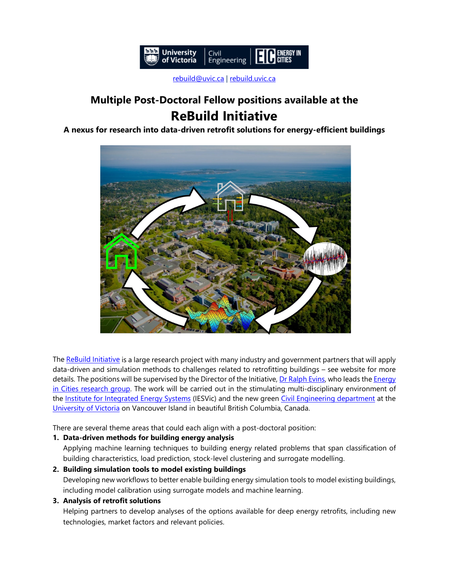

[rebuild@uvic.ca](mailto:rebuild@uvic.ca) | [rebuild.uvic.ca](http://rebuild.uvic.ca/)

# **Multiple Post-Doctoral Fellow positions available at the ReBuild Initiative**

# **A nexus for research into data-driven retrofit solutions for energy-efficient buildings**



Th[e ReBuild Initiative](https://rebuild.uvic.ca/) is a large research project with many industry and government partners that will apply data-driven and simulation methods to challenges related to retrofitting buildings – see website for more details. The positions will be supervised by the Director of the Initiative, [Dr Ralph Evins,](https://energyincities.gitlab.io/website/files/cvs/evins.pdf) who leads the Energy [in Cities research group.](https://energyincities.gitlab.io/website/) The work will be carried out in the stimulating multi-disciplinary environment of the [Institute for Integrated Energy Systems](http://www.uvic.ca/iesvic) (IESVic) and the new green [Civil Engineering department](https://www.uvic.ca/engineering/civil/) at the [University of Victoria](https://www.uvic.ca/) on Vancouver Island in beautiful British Columbia, Canada.

There are several theme areas that could each align with a post-doctoral position:

# **1. Data-driven methods for building energy analysis**

Applying machine learning techniques to building energy related problems that span classification of building characteristics, load prediction, stock-level clustering and surrogate modelling.

# **2. Building simulation tools to model existing buildings**

Developing new workflows to better enable building energy simulation tools to model existing buildings, including model calibration using surrogate models and machine learning.

#### **3. Analysis of retrofit solutions**

Helping partners to develop analyses of the options available for deep energy retrofits, including new technologies, market factors and relevant policies.